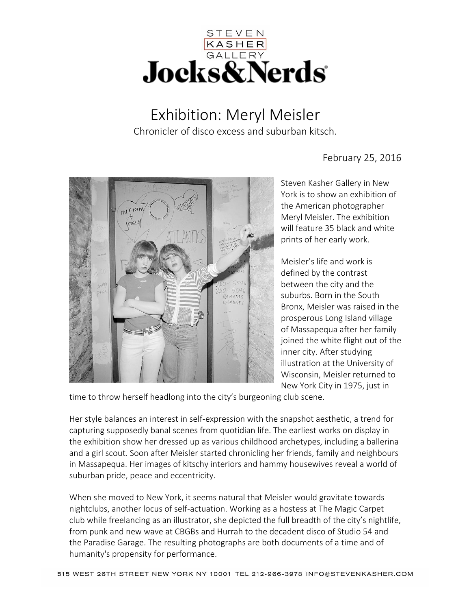

Exhibition: Meryl Meisler Chronicler of disco excess and suburban kitsch.



February 25, 2016

Steven Kasher Gallery in New York is to show an exhibition of the American photographer Meryl Meisler. The exhibition will feature 35 black and white prints of her early work.

Meisler's life and work is defined by the contrast between the city and the suburbs. Born in the South Bronx, Meisler was raised in the prosperous Long Island village of Massapequa after her family joined the white flight out of the inner city. After studying illustration at the University of Wisconsin, Meisler returned to New York City in 1975, just in

time to throw herself headlong into the city's burgeoning club scene.

Her style balances an interest in self-expression with the snapshot aesthetic, a trend for capturing supposedly banal scenes from quotidian life. The earliest works on display in the exhibition show her dressed up as various childhood archetypes, including a ballerina and a girl scout. Soon after Meisler started chronicling her friends, family and neighbours in Massapequa. Her images of kitschy interiors and hammy housewives reveal a world of suburban pride, peace and eccentricity.

When she moved to New York, it seems natural that Meisler would gravitate towards nightclubs, another locus of self-actuation. Working as a hostess at The Magic Carpet club while freelancing as an illustrator, she depicted the full breadth of the city's nightlife, from punk and new wave at CBGBs and Hurrah to the decadent disco of Studio 54 and the Paradise Garage. The resulting photographs are both documents of a time and of humanity's propensity for performance.